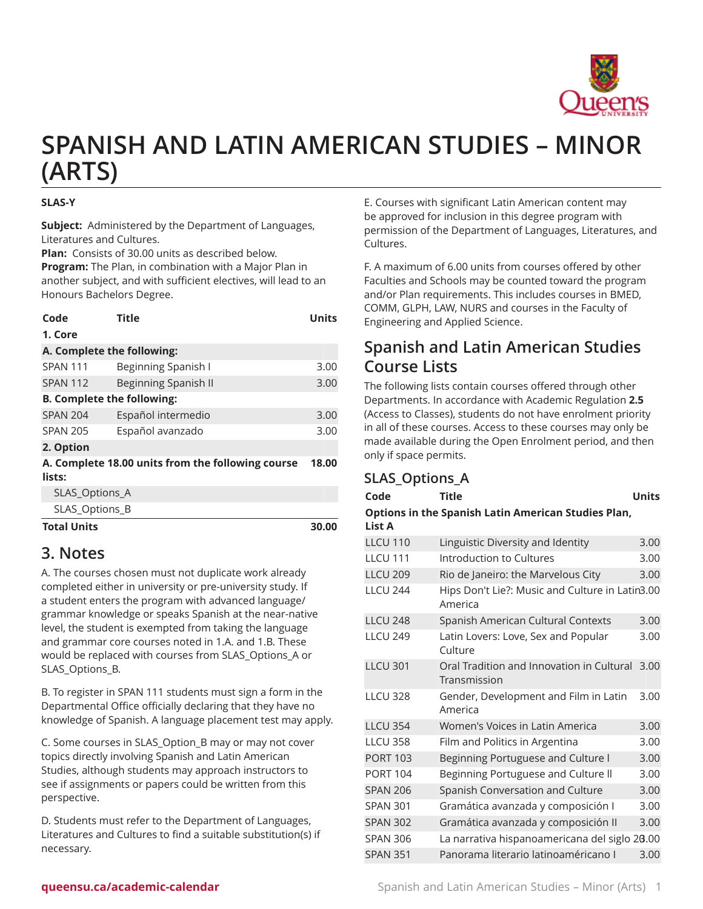

# **SPANISH AND LATIN AMERICAN STUDIES – MINOR (ARTS)**

#### **SLAS-Y**

**Subject:** Administered by the Department of Languages, Literatures and Cultures.

**Plan:** Consists of 30.00 units as described below. **Program:** The Plan, in combination with a Major Plan in another subject, and with sufficient electives, will lead to an Honours Bachelors Degree.

| Code                                              | Title                       | Units |  |  |
|---------------------------------------------------|-----------------------------|-------|--|--|
| 1. Core                                           |                             |       |  |  |
| A. Complete the following:                        |                             |       |  |  |
| SPAN 111                                          | Beginning Spanish I         | 3.00  |  |  |
| <b>SPAN 112</b>                                   | <b>Beginning Spanish II</b> | 3.00  |  |  |
| <b>B. Complete the following:</b>                 |                             |       |  |  |
| <b>SPAN 204</b>                                   | Español intermedio          | 3.00  |  |  |
| <b>SPAN 205</b>                                   | Español avanzado            | 3.00  |  |  |
| 2. Option                                         |                             |       |  |  |
| A. Complete 18.00 units from the following course |                             |       |  |  |
| lists:                                            |                             |       |  |  |
| SLAS_Options_A                                    |                             |       |  |  |
| SLAS_Options_B                                    |                             |       |  |  |
| <b>Total Units</b>                                |                             | 30.00 |  |  |

### **3. Notes**

A. The courses chosen must not duplicate work already completed either in university or pre-university study. If a student enters the program with advanced language/ grammar knowledge or speaks Spanish at the near-native level, the student is exempted from taking the language and grammar core courses noted in 1.A. and 1.B. These would be replaced with courses from SLAS\_Options\_A or SLAS\_Options\_B.

B. To register in SPAN 111 students must sign a form in the Departmental Office officially declaring that they have no knowledge of Spanish. A language placement test may apply.

C. Some courses in SLAS\_Option\_B may or may not cover topics directly involving Spanish and Latin American Studies, although students may approach instructors to see if assignments or papers could be written from this perspective.

D. Students must refer to the Department of Languages, Literatures and Cultures to find a suitable substitution(s) if necessary.

E. Courses with significant Latin American content may be approved for inclusion in this degree program with permission of the Department of Languages, Literatures, and Cultures.

F. A maximum of 6.00 units from courses offered by other Faculties and Schools may be counted toward the program and/or Plan requirements. This includes courses in BMED, COMM, GLPH, LAW, NURS and courses in the Faculty of Engineering and Applied Science.

## **Spanish and Latin American Studies Course Lists**

The following lists contain courses offered through other Departments. In accordance with Academic Regulation **2.5** (Access to Classes), students do not have enrolment priority in all of these courses. Access to these courses may only be made available during the Open Enrolment period, and then only if space permits.

#### **SLAS\_Options\_A**

| Code            | <b>Title</b>                                               | <b>Units</b> |
|-----------------|------------------------------------------------------------|--------------|
| <b>List A</b>   | Options in the Spanish Latin American Studies Plan,        |              |
| <b>LLCU 110</b> | Linguistic Diversity and Identity                          | 3.00         |
| <b>LLCU 111</b> | Introduction to Cultures                                   | 3.00         |
| <b>LLCU 209</b> | Rio de Janeiro: the Marvelous City                         | 3.00         |
| <b>LLCU 244</b> | Hips Don't Lie?: Music and Culture in Latin3.00<br>America |              |
| <b>LLCU 248</b> | Spanish American Cultural Contexts                         | 3.00         |
| <b>LLCU 249</b> | Latin Lovers: Love, Sex and Popular<br>Culture             | 3.00         |
| <b>LLCU 301</b> | Oral Tradition and Innovation in Cultural<br>Transmission  | 3.00         |
| <b>LLCU 328</b> | Gender, Development and Film in Latin<br>America           | 3.00         |
| <b>LLCU 354</b> | Women's Voices in Latin America                            | 3.00         |
| <b>LLCU 358</b> | Film and Politics in Argentina                             | 3.00         |
| <b>PORT 103</b> | Beginning Portuguese and Culture I                         | 3.00         |
| <b>PORT 104</b> | Beginning Portuguese and Culture II                        | 3.00         |
| <b>SPAN 206</b> | Spanish Conversation and Culture                           | 3.00         |
| <b>SPAN 301</b> | Gramática avanzada y composición I                         | 3.00         |
| <b>SPAN 302</b> | Gramática avanzada y composición II                        | 3.00         |
| <b>SPAN 306</b> | La narrativa hispanoamericana del siglo 20.00              |              |
| <b>SPAN 351</b> | Panorama literario latinoaméricano I                       | 3.00         |